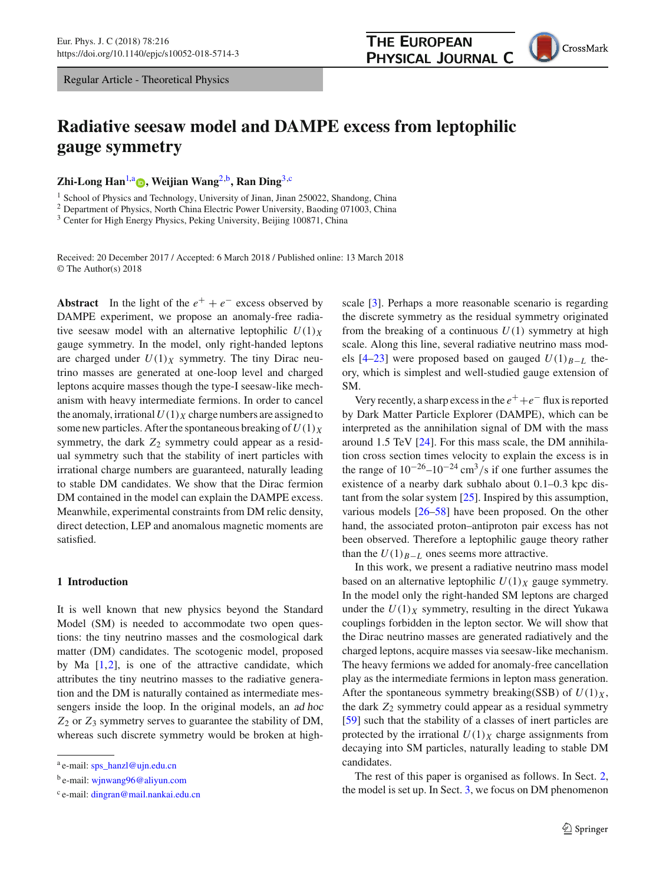Regular Article - Theoretical Physics

# **Radiative seesaw model and DAMPE excess from leptophilic gauge symmetry**

**Zhi-Long Han**[1,](#page-0-0)[a](http://orcid.org/0000-0002-1361-8323) **, Weijian Wang**[2,](#page-0-0)b**, Ran Ding**[3,](#page-0-1)c

<sup>1</sup> School of Physics and Technology, University of Jinan, Jinan 250022, Shandong, China

<sup>2</sup> Department of Physics, North China Electric Power University, Baoding 071003, China

<sup>3</sup> Center for High Energy Physics, Peking University, Beijing 100871, China

Received: 20 December 2017 / Accepted: 6 March 2018 / Published online: 13 March 2018 © The Author(s) 2018

Abstract In the light of the  $e^+ + e^-$  excess observed by DAMPE experiment, we propose an anomaly-free radiative seesaw model with an alternative leptophilic  $U(1)_X$ gauge symmetry. In the model, only right-handed leptons are charged under  $U(1)_X$  symmetry. The tiny Dirac neutrino masses are generated at one-loop level and charged leptons acquire masses though the type-I seesaw-like mechanism with heavy intermediate fermions. In order to cancel the anomaly, irrational  $U(1)_X$  charge numbers are assigned to some new particles. After the spontaneous breaking of  $U(1)_X$ symmetry, the dark  $Z_2$  symmetry could appear as a residual symmetry such that the stability of inert particles with irrational charge numbers are guaranteed, naturally leading to stable DM candidates. We show that the Dirac fermion DM contained in the model can explain the DAMPE excess. Meanwhile, experimental constraints from DM relic density, direct detection, LEP and anomalous magnetic moments are satisfied.

#### **1 Introduction**

It is well known that new physics beyond the Standard Model (SM) is needed to accommodate two open questions: the tiny neutrino masses and the cosmological dark matter (DM) candidates. The scotogenic model, proposed by Ma  $[1,2]$  $[1,2]$ , is one of the attractive candidate, which attributes the tiny neutrino masses to the radiative generation and the DM is naturally contained as intermediate messengers inside the loop. In the original models, an ad hoc *Z*<sup>2</sup> or *Z*<sup>3</sup> symmetry serves to guarantee the stability of DM, whereas such discrete symmetry would be broken at high<span id="page-0-1"></span><span id="page-0-0"></span>scale [\[3\]](#page-6-2). Perhaps a more reasonable scenario is regarding the discrete symmetry as the residual symmetry originated from the breaking of a continuous  $U(1)$  symmetry at high scale. Along this line, several radiative neutrino mass models  $[4–23]$  $[4–23]$  $[4–23]$  were proposed based on gauged  $U(1)_{B-L}$  theory, which is simplest and well-studied gauge extension of SM.

Very recently, a sharp excess in the  $e^+ + e^-$  flux is reported by Dark Matter Particle Explorer (DAMPE), which can be interpreted as the annihilation signal of DM with the mass around 1.5 TeV [\[24\]](#page-7-1). For this mass scale, the DM annihilation cross section times velocity to explain the excess is in the range of  $10^{-26}$ – $10^{-24}$  cm<sup>3</sup>/s if one further assumes the existence of a nearby dark subhalo about 0.1–0.3 kpc distant from the solar system [\[25](#page-7-2)]. Inspired by this assumption, various models [\[26](#page-7-3)[–58](#page-7-4)] have been proposed. On the other hand, the associated proton–antiproton pair excess has not been observed. Therefore a leptophilic gauge theory rather than the  $U(1)_{B-L}$  ones seems more attractive.

In this work, we present a radiative neutrino mass model based on an alternative leptophilic  $U(1)_X$  gauge symmetry. In the model only the right-handed SM leptons are charged under the  $U(1)_X$  symmetry, resulting in the direct Yukawa couplings forbidden in the lepton sector. We will show that the Dirac neutrino masses are generated radiatively and the charged leptons, acquire masses via seesaw-like mechanism. The heavy fermions we added for anomaly-free cancellation play as the intermediate fermions in lepton mass generation. After the spontaneous symmetry breaking(SSB) of  $U(1)_X$ , the dark  $Z_2$  symmetry could appear as a residual symmetry [\[59](#page-7-5)] such that the stability of a classes of inert particles are protected by the irrational  $U(1)_X$  charge assignments from decaying into SM particles, naturally leading to stable DM candidates.

The rest of this paper is organised as follows. In Sect. [2,](#page-1-0) the model is set up. In Sect. [3,](#page-4-0) we focus on DM phenomenon



<sup>a</sup> e-mail: [sps\\_hanzl@ujn.edu.cn](mailto:sps\protect _hanzl@ujn.edu.cn)

<sup>b</sup> e-mail: [wjnwang96@aliyun.com](mailto:wjnwang96@aliyun.com)

<sup>c</sup> e-mail: [dingran@mail.nankai.edu.cn](mailto:dingran@mail.nankai.edu.cn)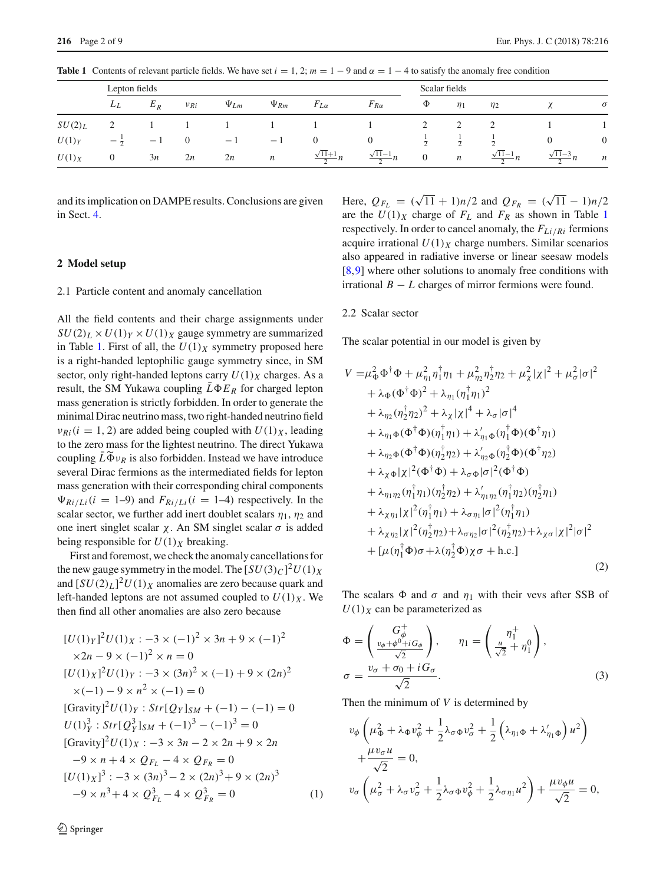<span id="page-1-1"></span>

|           | Lepton fields   |       |                |             |                  |                          |                          | Scalar fields  |                  |                          |                          |                  |
|-----------|-----------------|-------|----------------|-------------|------------------|--------------------------|--------------------------|----------------|------------------|--------------------------|--------------------------|------------------|
|           | $L_L$           | $E_R$ | $\nu_{Ri}$     | $\Psi_{Lm}$ | $\Psi_{Rm}$      | $F_{L\alpha}$            | $F_{R\alpha}$            | Φ              | $\eta_1$         | $\eta_2$                 |                          | $\sigma$         |
| $SU(2)_L$ |                 |       |                |             |                  |                          |                          | 2              | ∠                |                          |                          |                  |
| U(1)      | $-\overline{2}$ | $-1$  | $\overline{0}$ | $-1$        | $-1$             | $\mathbf{0}$             | $\theta$                 | $\overline{a}$ | $\overline{2}$   |                          |                          | $\boldsymbol{0}$ |
| $U(1)_X$  | $\theta$        | 3n    | 2n             | 2n          | $\boldsymbol{n}$ | $\frac{\sqrt{11}+1}{2}n$ | $\frac{\sqrt{11}-1}{2}n$ | $\overline{0}$ | $\boldsymbol{n}$ | $\frac{\sqrt{11}-1}{2}n$ | $\frac{\sqrt{11}-3}{2}n$ | $\boldsymbol{n}$ |

**Table 1** Contents of relevant particle fields. We have set  $i = 1, 2$ ;  $m = 1 - 9$  and  $\alpha = 1 - 4$  to satisfy the anomaly free condition

and its implication on DAMPE results. Conclusions are given in Sect. [4.](#page-6-4)

#### <span id="page-1-0"></span>**2 Model setup**

## 2.1 Particle content and anomaly cancellation

All the field contents and their charge assignments under  $SU(2)_L \times U(1)_Y \times U(1)_X$  gauge symmetry are summarized in Table [1.](#page-1-1) First of all, the  $U(1)_X$  symmetry proposed here is a right-handed leptophilic gauge symmetry since, in SM sector, only right-handed leptons carry  $U(1)_X$  charges. As a result, the SM Yukawa coupling  $\overline{L}\Phi E_R$  for charged lepton mass generation is strictly forbidden. In order to generate the minimal Dirac neutrino mass, two right-handed neutrino field  $v_{Ri}$  (*i* = 1, 2) are added being coupled with  $U(1)_X$ , leading to the zero mass for the lightest neutrino. The direct Yukawa minimal Dirac<br>  $v_{Ri}$  (*i* = 1, 2)<br>
to the zero ma<br>
coupling  $\overline{L}\widetilde{\Phi}v$ coupling  $\bar{L}\tilde{\Phi}v_R$  is also forbidden. Instead we have introduce several Dirac fermions as the intermediated fields for lepton mass generation with their corresponding chiral components  $\Psi_{Ri/Li}(i = 1-9)$  and  $F_{Ri/Li}(i = 1-4)$  respectively. In the scalar sector, we further add inert doublet scalars  $\eta_1$ ,  $\eta_2$  and one inert singlet scalar  $χ$ . An SM singlet scalar  $σ$  is added being responsible for  $U(1)_X$  breaking.

First and foremost, we check the anomaly cancellations for the new gauge symmetry in the model. The  $[SU(3)_C]^2U(1)_X$ and  $[SU(2)_L]^2 U(1)_X$  anomalies are zero because quark and left-handed leptons are not assumed coupled to  $U(1)_X$ . We then find all other anomalies are also zero because

$$
[U(1)_Y]^2 U(1)_X : -3 \times (-1)^2 \times 3n + 9 \times (-1)^2
$$
  
\n
$$
\times 2n - 9 \times (-1)^2 \times n = 0
$$
  
\n
$$
[U(1)_X]^2 U(1)_Y : -3 \times (3n)^2 \times (-1) + 9 \times (2n)^2
$$
  
\n
$$
\times (-1) - 9 \times n^2 \times (-1) = 0
$$
  
\n[Gravity]<sup>2</sup> U(1)\_Y : Str[Q\_Y]\_{SM} + (-1) - (-1) = 0  
\nU(1)\_Y^3 : Str[Q\_Y^3]\_{SM} + (-1)^3 - (-1)^3 = 0  
\n[Gravity]<sup>2</sup> U(1)\_X : -3 \times 3n - 2 \times 2n + 9 \times 2n  
\n-9 \times n + 4 \times Q\_{F\_L} - 4 \times Q\_{F\_R} = 0  
\n[U(1)\_X]^3 : -3 \times (3n)^3 - 2 \times (2n)^3 + 9 \times (2n)^3  
\n-9 \times n^3 + 4 \times Q\_{F\_L}^3 - 4 \times Q\_{F\_R}^3 = 0\n(1)

Here,  $Q_{F_L} = (\sqrt{11} + 1)n/2$  and  $Q_{F_R} = (\sqrt{11} - 1)n/2$ are the  $U(1)_X$  $U(1)_X$  $U(1)_X$  charge of  $F_L$  and  $F_R$  as shown in Table 1 respectively. In order to cancel anomaly, the *FLi*/*Ri* fermions acquire irrational  $U(1)_X$  charge numbers. Similar scenarios also appeared in radiative inverse or linear seesaw models [\[8](#page-7-6),[9\]](#page-7-7) where other solutions to anomaly free conditions with irrational *B* − *L* charges of mirror fermions were found.

#### 2.2 Scalar sector

The scalar potential in our model is given by

<span id="page-1-2"></span>
$$
V = \mu_{\Phi}^{2} \Phi^{\dagger} \Phi + \mu_{\eta_{1}}^{2} \eta_{1}^{\dagger} \eta_{1} + \mu_{\eta_{2}}^{2} \eta_{2}^{\dagger} \eta_{2} + \mu_{\chi}^{2} |\chi|^{2} + \mu_{\sigma}^{2} |\sigma|^{2} + \lambda_{\Phi} (\Phi^{\dagger} \Phi)^{2} + \lambda_{\eta_{1}} (\eta_{1}^{\dagger} \eta_{1})^{2} + \lambda_{\eta_{2}} (\eta_{2}^{\dagger} \eta_{2})^{2} + \lambda_{\chi} |\chi|^{4} + \lambda_{\sigma} |\sigma|^{4} + \lambda_{\eta_{1} \Phi} (\Phi^{\dagger} \Phi)(\eta_{1}^{\dagger} \eta_{1}) + \lambda_{\eta_{1} \Phi}' (\eta_{1}^{\dagger} \Phi)(\Phi^{\dagger} \eta_{1}) + \lambda_{\eta_{2} \Phi} (\Phi^{\dagger} \Phi)(\eta_{2}^{\dagger} \eta_{2}) + \lambda_{\eta_{2} \Phi}' (\eta_{2}^{\dagger} \Phi)(\Phi^{\dagger} \eta_{2}) + \lambda_{\chi} \Phi |\chi|^{2} (\Phi^{\dagger} \Phi) + \lambda_{\sigma} \Phi |\sigma|^{2} (\Phi^{\dagger} \Phi) + \lambda_{\eta_{1} \eta_{2}} (\eta_{1}^{\dagger} \eta_{1})(\eta_{2}^{\dagger} \eta_{2}) + \lambda_{\eta_{1} \eta_{2}}' (\eta_{1}^{\dagger} \eta_{2})(\eta_{2}^{\dagger} \eta_{1}) + \lambda_{\chi} \eta_{1} |\chi|^{2} (\eta_{1}^{\dagger} \eta_{1}) + \lambda_{\sigma} \eta_{1} |\sigma|^{2} (\eta_{1}^{\dagger} \eta_{1}) + \lambda_{\chi} \eta_{2} |\chi|^{2} (\eta_{2}^{\dagger} \eta_{2}) + \lambda_{\sigma} \eta_{2} |\sigma|^{2} (\eta_{2}^{\dagger} \eta_{2}) + \lambda_{\chi} \sigma |\chi|^{2} |\sigma|^{2} + [\mu(\eta_{1}^{\dagger} \Phi) \sigma + \lambda(\eta_{2}^{\dagger} \Phi) \chi \sigma + \text{h.c.}]
$$
\n(2)

The scalars  $\Phi$  and  $\sigma$  and  $\eta_1$  with their vevs after SSB of  $U(1)_X$  can be parameterized as

$$
\Phi = \begin{pmatrix} G_{\phi}^{+} \\ \frac{v_{\phi} + \phi_{+i}^{0} G_{\phi}}{\sqrt{2}} \end{pmatrix}, \qquad \eta_{1} = \begin{pmatrix} \eta_{1}^{+} \\ \frac{u}{\sqrt{2}} + \eta_{1}^{0} \end{pmatrix},
$$

$$
\sigma = \frac{v_{\sigma} + \sigma_{0} + i G_{\sigma}}{\sqrt{2}}.
$$
(3)

Then the minimum of *V* is determined by

$$
v_{\phi}\left(\mu_{\Phi}^2 + \lambda_{\Phi}v_{\phi}^2 + \frac{1}{2}\lambda_{\sigma\Phi}v_{\sigma}^2 + \frac{1}{2}\left(\lambda_{\eta_1\Phi} + \lambda'_{\eta_1\Phi}\right)u^2\right) + \frac{\mu v_{\sigma}u}{\sqrt{2}} = 0,
$$
  

$$
v_{\sigma}\left(\mu_{\sigma}^2 + \lambda_{\sigma}v_{\sigma}^2 + \frac{1}{2}\lambda_{\sigma\Phi}v_{\phi}^2 + \frac{1}{2}\lambda_{\sigma\eta_1}u^2\right) + \frac{\mu v_{\phi}u}{\sqrt{2}} = 0,
$$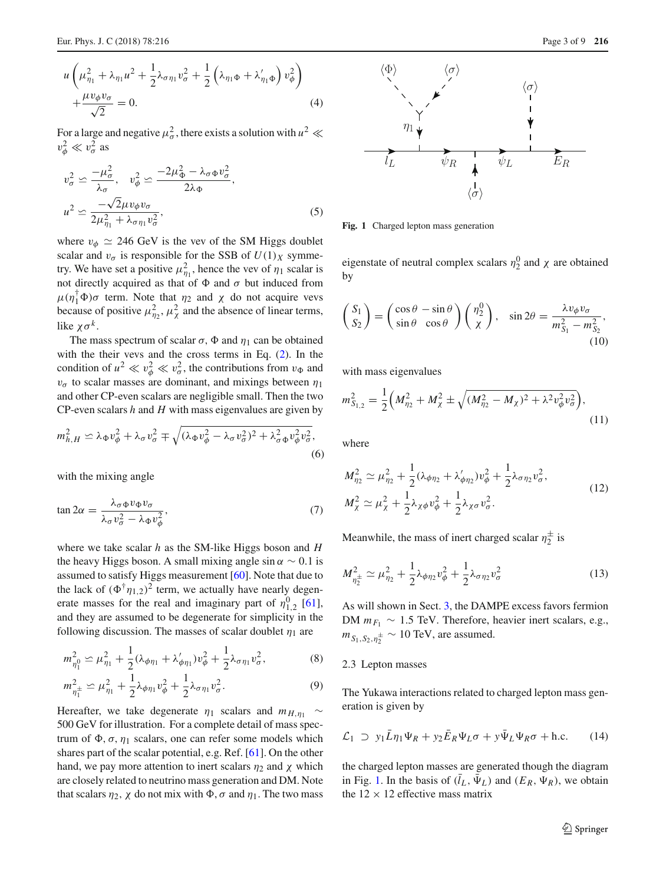For a large and negative  $\mu_{\sigma}^2$ , there exists a solution with  $u^2 \ll$  $v_{\phi}^2 \ll v_{\sigma}^2$  as

$$
v_{\sigma}^{2} \simeq \frac{-\mu_{\sigma}^{2}}{\lambda_{\sigma}}, \quad v_{\phi}^{2} \simeq \frac{-2\mu_{\Phi}^{2} - \lambda_{\sigma} \Phi v_{\sigma}^{2}}{2\lambda_{\Phi}},
$$

$$
u^{2} \simeq \frac{-\sqrt{2}\mu v_{\phi} v_{\sigma}}{2\mu_{\eta_{1}}^{2} + \lambda_{\sigma \eta_{1}} v_{\sigma}^{2}},
$$
(5)

where  $v_{\phi} \simeq 246$  GeV is the vev of the SM Higgs doublet scalar and  $v_{\sigma}$  is responsible for the SSB of  $U(1)_X$  symmetry. We have set a positive  $\mu_{\eta_1}^2$ , hence the vev of  $\eta_1$  scalar is not directly acquired as that of  $\Phi$  and  $\sigma$  but induced from  $\mu(\eta_1^{\dagger} \Phi) \sigma$  term. Note that  $\eta_2$  and  $\chi$  do not acquire vevs because of positive  $\mu_{\eta_2}^2$ ,  $\mu_{\chi}^2$  and the absence of linear terms, like  $\chi \sigma^k$ .

The mass spectrum of scalar  $\sigma$ ,  $\Phi$  and  $\eta_1$  can be obtained with the their vevs and the cross terms in Eq. [\(2\)](#page-1-2). In the condition of  $u^2 \ll v_\phi^2 \ll v_\sigma^2$ , the contributions from  $v_\Phi$  and  $v_{\sigma}$  to scalar masses are dominant, and mixings between  $\eta_1$ and other CP-even scalars are negligible small. Then the two CP-even scalars *h* and *H* with mass eigenvalues are given by

$$
m_{h,H}^2 \simeq \lambda_{\Phi} v_{\phi}^2 + \lambda_{\sigma} v_{\sigma}^2 \mp \sqrt{(\lambda_{\Phi} v_{\phi}^2 - \lambda_{\sigma} v_{\sigma}^2)^2 + \lambda_{\sigma \Phi}^2 v_{\phi}^2 v_{\sigma}^2},\tag{6}
$$

with the mixing angle

$$
\tan 2\alpha = \frac{\lambda_{\sigma} \Phi v_{\Phi} v_{\sigma}}{\lambda_{\sigma} v_{\sigma}^2 - \lambda_{\Phi} v_{\phi}^2},\tag{7}
$$

where we take scalar *h* as the SM-like Higgs boson and *H* the heavy Higgs boson. A small mixing angle sin  $\alpha \sim 0.1$  is assumed to satisfy Higgs measurement [\[60](#page-7-8)]. Note that due to the lack of  $(\Phi^{\dagger} \eta_{1,2})^2$  term, we actually have nearly degenerate masses for the real and imaginary part of  $\eta_{1,2}^0$  [\[61](#page-7-9)], and they are assumed to be degenerate for simplicity in the following discussion. The masses of scalar doublet  $\eta_1$  are

$$
m_{\eta_1^0}^2 \simeq \mu_{\eta_1}^2 + \frac{1}{2} (\lambda_{\phi\eta_1} + \lambda'_{\phi\eta_1}) v_{\phi}^2 + \frac{1}{2} \lambda_{\sigma\eta_1} v_{\sigma}^2, \tag{8}
$$

$$
m_{\eta_1^{\pm}}^2 \simeq \mu_{\eta_1}^2 + \frac{1}{2} \lambda_{\phi \eta_1} v_{\phi}^2 + \frac{1}{2} \lambda_{\sigma \eta_1} v_{\sigma}^2. \tag{9}
$$

Hereafter, we take degenerate  $\eta_1$  scalars and  $m_{H,\eta_1} \sim$ 500 GeV for illustration. For a complete detail of mass spectrum of  $\Phi$ ,  $\sigma$ ,  $\eta_1$  scalars, one can refer some models which shares part of the scalar potential, e.g. Ref. [\[61\]](#page-7-9). On the other hand, we pay more attention to inert scalars  $\eta_2$  and  $\chi$  which are closely related to neutrino mass generation and DM. Note that scalars  $\eta_2$ ,  $\chi$  do not mix with  $\Phi$ ,  $\sigma$  and  $\eta_1$ . The two mass



<span id="page-2-0"></span>**Fig. 1** Charged lepton mass generation

eigenstate of neutral complex scalars  $\eta_2^0$  and  $\chi$  are obtained<br>by by

$$
\begin{pmatrix} S_1 \\ S_2 \end{pmatrix} = \begin{pmatrix} \cos \theta - \sin \theta \\ \sin \theta & \cos \theta \end{pmatrix} \begin{pmatrix} \eta_2^0 \\ \chi \end{pmatrix}, \quad \sin 2\theta = \frac{\lambda v_{\phi} v_{\sigma}}{m_{S_1}^2 - m_{S_2}^2},\tag{10}
$$

with mass eigenvalues

$$
m_{S_{1,2}}^2 = \frac{1}{2} \Big( M_{\eta_2}^2 + M_\chi^2 \pm \sqrt{(M_{\eta_2}^2 - M_\chi)^2 + \lambda^2 v_\phi^2 v_\sigma^2} \Big),\tag{11}
$$

where

$$
M_{\eta_2}^2 \simeq \mu_{\eta_2}^2 + \frac{1}{2} (\lambda_{\phi \eta_2} + \lambda'_{\phi \eta_2}) v_{\phi}^2 + \frac{1}{2} \lambda_{\sigma \eta_2} v_{\sigma}^2,
$$
  

$$
M_{\chi}^2 \simeq \mu_{\chi}^2 + \frac{1}{2} \lambda_{\chi \phi} v_{\phi}^2 + \frac{1}{2} \lambda_{\chi \sigma} v_{\sigma}^2.
$$
 (12)

Meanwhile, the mass of inert charged scalar  $\eta_2^{\pm}$  is

$$
M_{\eta_2^{\pm}}^2 \simeq \mu_{\eta_2}^2 + \frac{1}{2}\lambda_{\phi\eta_2}v_{\phi}^2 + \frac{1}{2}\lambda_{\sigma\eta_2}v_{\sigma}^2 \tag{13}
$$

As will shown in Sect. [3,](#page-4-0) the DAMPE excess favors fermion DM  $m_{F_1} \sim 1.5$  TeV. Therefore, heavier inert scalars, e.g.,  $m_{S_1, S_2, \eta_2^{\pm}} \sim 10$  TeV, are assumed.

#### 2.3 Lepton masses

<span id="page-2-1"></span>The Yukawa interactions related to charged lepton mass generation is given by

$$
\mathcal{L}_1 \supset y_1 \bar{L} \eta_1 \Psi_R + y_2 \bar{E}_R \Psi_L \sigma + y \bar{\Psi}_L \Psi_R \sigma + \text{h.c.} \tag{14}
$$

the charged lepton masses are generated though the diagram in Fig. [1.](#page-2-0) In the basis of  $(l_L, \Psi_L)$  and  $(E_R, \Psi_R)$ , we obtain the  $12 \times 12$  effective mass matrix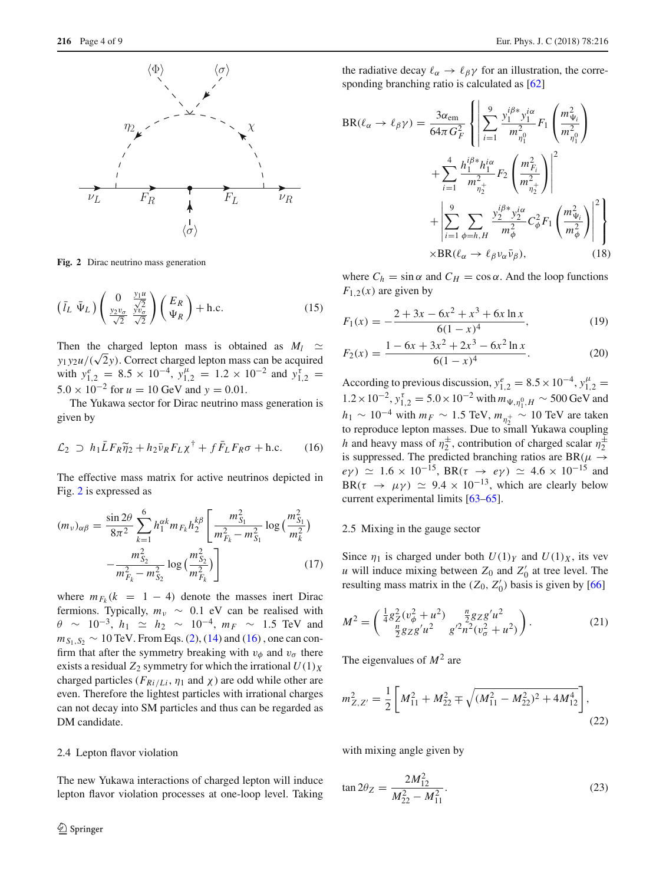

<span id="page-3-0"></span>**Fig. 2** Dirac neutrino mass generation

$$
\left(\bar{l}_L \ \bar{\Psi}_L\right) \left(\frac{0}{\frac{y_2 v_\sigma}{\sqrt{2}}} \frac{\frac{y_1 u}{\sqrt{2}}}{\frac{y_2 v_\sigma}{\sqrt{2}}}\right) \left(\frac{E_R}{\Psi_R}\right) + \text{h.c.} \tag{15}
$$

Then the charged lepton mass is obtained as  $M_l \simeq$  $y_1 y_2 u / (\sqrt{2}y)$ . Correct charged lepton mass can be acquired with  $y_{1,2}^e = 8.5 \times 10^{-4}$ ,  $y_{1,2}^{\mu} = 1.2 \times 10^{-2}$  and  $y_{1,2}^{\tau} =$  $5.0 \times 10^{-2}$  for  $u = 10$  GeV and  $y = 0.01$ .

<span id="page-3-1"></span>The Yukawa sector for Dirac neutrino mass generation is<br>given by<br> $\mathcal{L}_2 \supset h_1 \bar{L} F_R \tilde{\eta}_2 + h_2 \bar{\nu}_R F_L \chi^{\dagger} + f \bar{F}_L F_R \sigma + \text{h.c.}$  (16) given by

$$
\mathcal{L}_2 \supset h_1 \bar{L} F_R \widetilde{\eta}_2 + h_2 \bar{\nu}_R F_L \chi^{\dagger} + f \bar{F}_L F_R \sigma + \text{h.c.} \tag{16}
$$

The effective mass matrix for active neutrinos depicted in<br>Fig. 2 is expressed as<br> $(m_v)_{\alpha\beta} = \frac{\sin 2\theta}{\cos \theta} \sum_{k=1}^{6} h_1^{\alpha k} m_{F_k} h_2^{k\beta} \left[ \frac{m_{S_1}^2}{2} \log \left( \frac{m_{S_1}^2}{2} \right) \right]$ Fig. [2](#page-3-0) is expressed as

$$
(m_{\nu})_{\alpha\beta} = \frac{\sin 2\theta}{8\pi^2} \sum_{k=1}^{6} h_1^{\alpha k} m_{F_k} h_2^{\beta} \left[ \frac{m_{S_1}^2}{m_{F_k}^2 - m_{S_1}^2} \log \left( \frac{m_{S_1}^2}{m_k^2} \right) - \frac{m_{S_2}^2}{m_{F_k}^2 - m_{S_2}^2} \log \left( \frac{m_{S_2}^2}{m_{F_k}^2} \right) \right]
$$
(17)

where  $m_{F_k}(k = 1 - 4)$  denote the masses inert Dirac fermions. Typically,  $m_v \sim 0.1$  eV can be realised with  $θ$  ~ 10<sup>-3</sup>, *h*<sub>1</sub>  $\approx$  *h*<sub>2</sub> ~ 10<sup>-4</sup>, *m<sub>F</sub>* ~ 1.5 TeV and  $m_{S_1, S_2} \sim 10$  TeV. From Eqs. [\(2\)](#page-1-2), [\(14\)](#page-2-1) and [\(16\)](#page-3-1), one can confirm that after the symmetry breaking with  $v_{\phi}$  and  $v_{\sigma}$  there exists a residual  $Z_2$  symmetry for which the irrational  $U(1)_X$ charged particles ( $F_{Ri/Li}$ ,  $\eta_1$  and  $\chi$ ) are odd while other are even. Therefore the lightest particles with irrational charges can not decay into SM particles and thus can be regarded as DM candidate.

#### 2.4 Lepton flavor violation

The new Yukawa interactions of charged lepton will induce lepton flavor violation processes at one-loop level. Taking the radiative decay  $\ell_{\alpha} \to \ell_{\beta} \gamma$  for an illustration, the corresponding branching ratio is calculated as  $[62]$  $[62]$  $\overline{a}$ 

⎧Ī

$$
BR(\ell_{\alpha} \to \ell_{\beta} \gamma) = \frac{3\alpha_{em}}{64\pi G_F^2} \left\{ \left| \sum_{i=1}^{9} \frac{y_1^{i\beta *} y_1^{i\alpha}}{m_{\eta_1}^2} F_1 \left( \frac{m_{\Psi_i}^2}{m_{\eta_1}^2} \right) \right. \right. \\ \left. + \sum_{i=1}^{4} \frac{h_1^{i\beta *} h_1^{i\alpha}}{m_{\eta_2}^2} F_2 \left( \frac{m_{F_i}^2}{m_{\eta_2}^2} \right) \right\}^2 \right\} \\ \left. + \left| \sum_{i=1}^{9} \sum_{\phi=h, H} \frac{y_2^{i\beta *} y_2^{i\alpha}}{m_{\phi}^2} C_{\phi}^2 F_1 \left( \frac{m_{\Psi_i}^2}{m_{\phi}^2} \right) \right\}^2 \right\} \\ \times BR(\ell_{\alpha} \to \ell_{\beta} v_{\alpha} \bar{v}_{\beta}), \tag{18}
$$

where  $C_h = \sin \alpha$  and  $C_H = \cos \alpha$ . And the loop functions  $F_{1,2}(x)$  are given by

$$
F_1(x) = -\frac{2 + 3x - 6x^2 + x^3 + 6x \ln x}{6(1 - x)^4},
$$
\n(19)

$$
F_2(x) = \frac{1 - 6x + 3x^2 + 2x^3 - 6x^2 \ln x}{6(1 - x)^4}.
$$
 (20)

According to previous discussion,  $y_{1,2}^e = 8.5 \times 10^{-4}$ ,  $y_{1,2}^\mu =$  $1.2 \times 10^{-2}$ ,  $y_{1,2}^{\tau} = 5.0 \times 10^{-2}$  with  $m_{\Psi,\eta_1^0,H} \sim 500 \,\text{GeV}$  and  $h_1 \sim 10^{-4}$  with  $m_F \sim 1.5$  TeV,  $m_{\eta_2^+} \sim 10$  TeV are taken to reproduce lepton masses. Due to small Yukawa coupling *h* and heavy mass of  $\eta_2^{\pm}$ , contribution of charged scalar  $\eta_2^{\pm}$ is suppressed. The predicted branching ratios are BR( $\mu \rightarrow$ *e*γ)  $\approx$  1.6 × 10<sup>-15</sup>, BR( $\tau \to e\gamma$ )  $\approx$  4.6 × 10<sup>-15</sup> and  $BR(\tau \rightarrow \mu \gamma) \simeq 9.4 \times 10^{-13}$ , which are clearly below current experimental limits [\[63](#page-7-11)[–65\]](#page-7-12).

#### 2.5 Mixing in the gauge sector

Since  $\eta_1$  is charged under both  $U(1)_Y$  and  $U(1)_X$ , its vev *u* will induce mixing between  $Z_0$  and  $Z'_0$  at tree level. The resulting mass matrix in the  $(Z_0, Z'_0)$  basis is given by [\[66](#page-7-13)]

$$
M^{2} = \begin{pmatrix} \frac{1}{4}g_{Z}^{2}(v_{\phi}^{2} + u^{2}) & \frac{n}{2}g_{Z}g'u^{2} \\ \frac{n}{2}g_{Z}g'u^{2} & g'^{2}n^{2}(v_{\sigma}^{2} + u^{2}) \end{pmatrix}.
$$
 (21)

The eigenvalues of *M*<sup>2</sup> are

The eigenvalues of 
$$
M^2
$$
 are  
\n
$$
m_{Z,Z'}^2 = \frac{1}{2} \left[ M_{11}^2 + M_{22}^2 \mp \sqrt{(M_{11}^2 - M_{22}^2)^2 + 4M_{12}^4} \right],
$$
\n(22)

with mixing angle given by

$$
\tan 2\theta_Z = \frac{2M_{12}^2}{M_{22}^2 - M_{11}^2}.
$$
\n(23)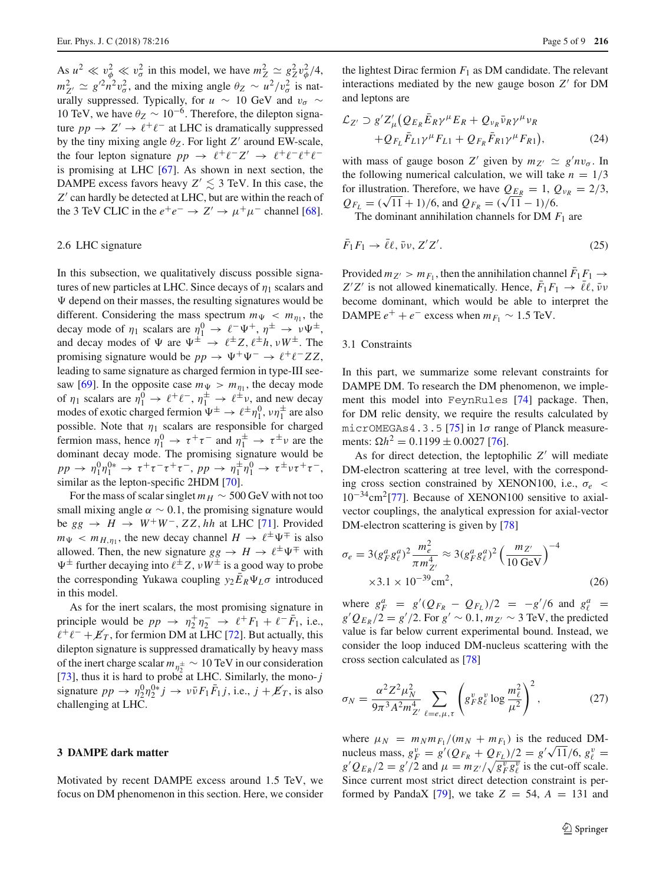As  $u^2 \ll v_\phi^2 \ll v_\sigma^2$  in this model, we have  $m_Z^2 \simeq g_Z^2 v_\phi^2 / 4$ ,  $m_{Z'}^2 \simeq g'^2 n^2 v_\sigma^2$ , and the mixing angle  $\theta_Z \sim u^2/v_\sigma^2$  is naturally suppressed. Typically, for *u* ~ 10 GeV and  $v_{\sigma}$  ~ 10 TeV, we have  $\theta_Z \sim 10^{-6}$ . Therefore, the dilepton signature  $pp \rightarrow Z' \rightarrow \ell^+ \ell^-$  at LHC is dramatically suppressed by the tiny mixing angle  $\theta_Z$ . For light *Z'* around EW-scale, the four lepton signature  $pp \rightarrow \ell^+\ell^-Z' \rightarrow \ell^+\ell^-\ell^+\ell^$ is promising at LHC [\[67\]](#page-7-14). As shown in next section, the DAMPE excess favors heavy  $Z' \leq 3$  TeV. In this case, the Z' can hardly be detected at LHC, but are within the reach of the 3 TeV CLIC in the  $e^+e^- \to Z' \to \mu^+\mu^-$  channel [\[68](#page-7-15)].

## 2.6 LHC signature

In this subsection, we qualitatively discuss possible signatures of new particles at LHC. Since decays of  $\eta_1$  scalars and  $\Psi$  depend on their masses, the resulting signatures would be different. Considering the mass spectrum  $m_{\Psi} < m_{\eta_1}$ , the decay mode of  $\eta_1$  scalars are  $\eta_1^0 \to \ell^- \Psi^+$ ,  $\eta^{\pm} \to \nu \Psi^{\pm}$ , and decay modes of  $\Psi$  are  $\Psi^{\pm} \rightarrow \ell^{\pm} Z, \ell^{\pm} h, \nu W^{\pm}$ . The promising signature would be  $pp \to \Psi^+\Psi^- \to \ell^+\ell^- ZZ$ , leading to same signature as charged fermion in type-III see-saw [\[69\]](#page-7-16). In the opposite case  $m_{\Psi} > m_{\eta_1}$ , the decay mode of  $\eta_1$  scalars are  $\eta_1^0 \to \ell^+ \ell^-$ ,  $\eta_1^{\pm} \to \ell^{\pm} \nu$ , and new decay modes of exotic charged fermion  $\Psi^{\pm} \to \ell^{\pm} \eta_1^0$ ,  $\nu \eta_1^{\pm}$  are also possible. Note that  $\eta_1$  scalars are responsible for charged fermion mass, hence  $\eta_1^0 \to \tau^+ \tau^-$  and  $\eta_1^{\pm} \to \tau^{\pm} \nu$  are the dominant decay mode. The promising signature would be  $pp \to \eta_1^0 \eta_1^{0*} \to \tau^+ \tau^- \tau^+ \tau^-, pp \to \eta_1^{\pm} \eta_1^{0} \to \tau^{\pm} \nu \tau^+ \tau^-,$ similar as the lepton-specific 2HDM [\[70\]](#page-7-17).

For the mass of scalar singlet  $m_H \sim 500$  GeV with not too small mixing angle  $\alpha \sim 0.1$ , the promising signature would be  $gg \rightarrow H \rightarrow W^+W^-$ , ZZ, hh at LHC [\[71\]](#page-7-18). Provided  $m_{\Psi}$  <  $m_{H,\eta_1}$ , the new decay channel  $H \to \ell^{\pm} \Psi^{\mp}$  is also allowed. Then, the new signature  $gg \to H \to \ell^{\pm} \Psi^{\mp}$  with  $\Psi^{\pm}$  further decaying into  $\ell^{\pm} Z$ ,  $\nu W^{\pm}$  is a good way to probe the corresponding Yukawa coupling  $y_2 \bar{E}_R \Psi_L \sigma$  introduced in this model.

As for the inert scalars, the most promising signature in principle would be  $pp \rightarrow \eta_2^+ \eta_2^- \rightarrow \ell^+ F_1 + \ell^- F_1$ , i.e.,  $\ell^+\ell^- + \cancel{E}_T$ , for fermion DM at LHC [\[72](#page-7-19)]. But actually, this dilepton signature is suppressed dramatically by heavy mass of the inert charge scalar  $m_{\eta_2^{\pm}} \sim 10 \text{ TeV}$  in our consideration [\[73](#page-7-20)], thus it is hard to probe at LHC. Similarly, the mono- $j$ signature  $pp \to \eta_2^0 \eta_2^{0*} j \to \nu \bar{\nu} F_1 \bar{F}_1 j$ , i.e.,  $j + \cancel{E}_T$ , is also challenging at LHC.

# <span id="page-4-0"></span>**3 DAMPE dark matter**

Motivated by recent DAMPE excess around 1.5 TeV, we focus on DM phenomenon in this section. Here, we consider

the lightest Dirac fermion  $F_1$  as DM candidate. The relevant interactions mediated by the new gauge boson  $Z'$  for DM and leptons are

$$
\mathcal{L}_{Z'} \supset g' Z'_{\mu} \left( Q_{E_R} \bar{E}_R \gamma^{\mu} E_R + Q_{\nu_R} \bar{\nu}_R \gamma^{\mu} \nu_R \right. \left. + Q_{F_L} \bar{F}_{L1} \gamma^{\mu} F_{L1} + Q_{F_R} \bar{F}_{R1} \gamma^{\mu} F_{R1} \right),
$$
\n(24)

with mass of gauge boson *Z'* given by  $m_{Z'} \simeq g' n v_{\sigma}$ . In the following numerical calculation, we will take  $n = 1/3$ for illustration. Therefore, we have  $Q_{E_R} = 1$ ,  $Q_{v_R} = 2/3$ ,  $Q_{F_L} = (\sqrt{11} + 1)/6$ , and  $Q_{F_R} = (\sqrt{11} - 1)/6$ .

The dominant annihilation channels for DM *F*<sup>1</sup> are

$$
\bar{F}_1 F_1 \to \bar{\ell}\ell, \bar{\nu}\nu, Z'Z'. \tag{25}
$$

Provided  $m_{Z'} > m_{F_1}$ , then the annihilation channel  $F_1F_1 \rightarrow$  $Z'Z'$  is not allowed kinematically. Hence,  $F_1F_1 \rightarrow \ell \ell$ ,  $\bar{\nu} \nu$ become dominant, which would be able to interpret the DAMPE  $e^+ + e^-$  excess when  $m_{F_1} \sim 1.5$  TeV.

#### 3.1 Constraints

In this part, we summarize some relevant constraints for DAMPE DM. To research the DM phenomenon, we implement this model into FeynRules [\[74\]](#page-7-21) package. Then, for DM relic density, we require the results calculated by micrOMEGAs4.3.5 [\[75\]](#page-7-22) in  $1\sigma$  range of Planck measurements:  $\Omega h^2 = 0.1199 \pm 0.0027$  [\[76\]](#page-7-23).

As for direct detection, the leptophilic  $Z'$  will mediate DM-electron scattering at tree level, with the corresponding cross section constrained by XENON100, i.e., σ*e* < 10−34cm2[\[77\]](#page-7-24). Because of XENON100 sensitive to axialvector couplings, the analytical expression for axial-vector DM-electron scattering is given by [\[78](#page-7-25)]

$$
\sigma_e = 3(g_F^a g_\ell^a)^2 \frac{m_e^2}{\pi m_{Z'}^4} \approx 3(g_F^a g_\ell^a)^2 \left(\frac{m_{Z'}}{10 \text{ GeV}}\right)^{-4}
$$
  
×3.1 × 10<sup>-39</sup> cm<sup>2</sup>, (26)

where  $g_F^a = g'(Q_{F_R} - Q_{F_L})/2 = -g'/6$  and  $g_\ell^a =$  $g'Q_{E_R}/2 = g'/2$ . For  $g' \sim 0.1$ ,  $m_{Z'} \sim 3$  TeV, the predicted value is far below current experimental bound. Instead, we cross section calculated as [\[78\]](#page-7-25)

value is far below current experimental bound. Instead, we  
consider the loop induced DM-nucleus scattering with the  
cross section calculated as [78]  

$$
\sigma_N = \frac{\alpha^2 Z^2 \mu_N^2}{9\pi^3 A^2 m_{Z'}^4} \sum_{\ell=e,\mu,\tau} \left( g_F^v g_\ell^v \log \frac{m_\ell^2}{\mu^2} \right)^2, \qquad (27)
$$

where  $\mu_N = m_N m_{F_1} / (m_N + m_{F_1})$  is the reduced DMnucleus mass,  $g_F^v = g'(Q_{F_R} + Q_{F_L})/2 = g'\sqrt{11/6}, g_{\ell}^v =$  $g'Q_{E_R}/2 = g'/2$  and  $\mu = m_{Z'}/\sqrt{g_F^v g_\ell^v}$  is the cut-off scale. Since current most strict direct detection constraint is per-formed by PandaX [\[79\]](#page-7-26), we take  $Z = 54$ ,  $A = 131$  and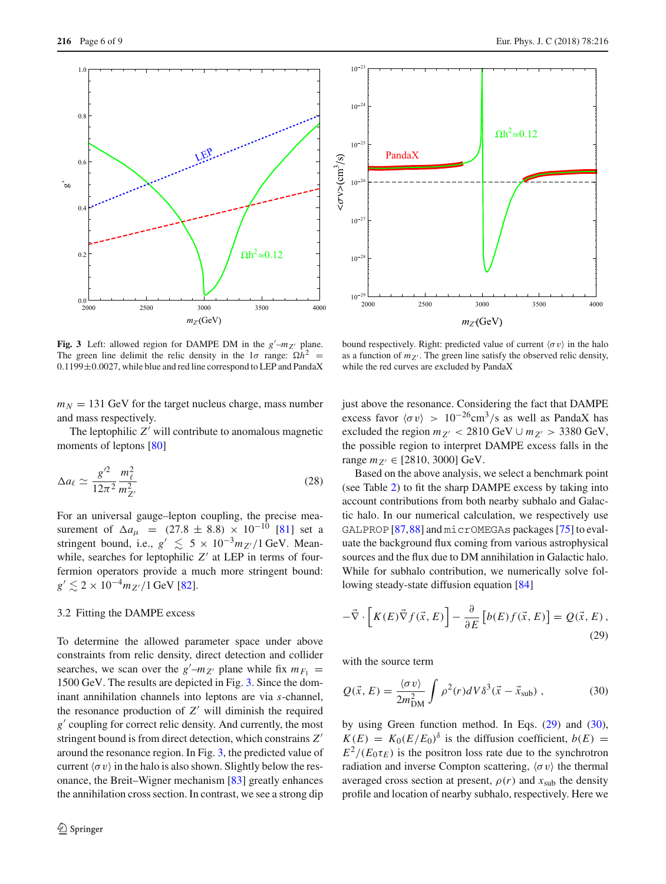

2000 2500 3000 3500 4000  $\frac{10^{-29}}{2000}$  $10^{-28}$  $10^{-2}$  $10^{-26}$  $10^{-25}$  $10^{-24}$  $10^{-7}$  $m_Z$ <sup>(GeV)</sup> PandaX  $\Omega h^2 \approx 0.12$ 

<span id="page-5-0"></span>**Fig. 3** Left: allowed region for DAMPE DM in the  $g'$ – $m_{Z'}$  plane. The green line delimit the relic density in the  $1\sigma$  range:  $\Omega h^2$  =  $0.1199 \pm 0.0027$ , while blue and red line correspond to LEP and PandaX

 $m_N = 131$  GeV for the target nucleus charge, mass number and mass respectively.

The leptophilic  $Z'$  will contribute to anomalous magnetic moments of leptons [\[80](#page-7-27)]

$$
\Delta a_{\ell} \simeq \frac{g^{\prime 2}}{12\pi^2} \frac{m_{\ell}^2}{m_{Z'}^2} \tag{28}
$$

For an universal gauge–lepton coupling, the precise measurement of  $\Delta a_{\mu}$  = (27.8 ± 8.8) × 10<sup>-10</sup> [\[81\]](#page-7-28) set a stringent bound, i.e.,  $g' \leq 5 \times 10^{-3} m_Z/1$  GeV. Meanwhile, searches for leptophilic  $Z'$  at LEP in terms of fourfermion operators provide a much more stringent bound:  $g' \lesssim 2 \times 10^{-4} m_{Z'}/1$  GeV [\[82\]](#page-7-29).

## 3.2 Fitting the DAMPE excess

To determine the allowed parameter space under above constraints from relic density, direct detection and collider searches, we scan over the  $g'$ – $m_{Z'}$  plane while fix  $m_{F_1}$  = 1500 GeV. The results are depicted in Fig. [3.](#page-5-0) Since the dominant annihilation channels into leptons are via *s*-channel, the resonance production of  $Z'$  will diminish the required *g*' coupling for correct relic density. And currently, the most stringent bound is from direct detection, which constrains *Z* around the resonance region. In Fig. [3,](#page-5-0) the predicted value of current  $\langle \sigma v \rangle$  in the halo is also shown. Slightly below the resonance, the Breit–Wigner mechanism [\[83\]](#page-7-30) greatly enhances the annihilation cross section. In contrast, we see a strong dip as a function of  $m_{Z'}$ . The green line satisfy the observed relic density, while the red curves are excluded by PandaX

bound respectively. Right: predicted value of current  $\langle \sigma v \rangle$  in the halo

just above the resonance. Considering the fact that DAMPE excess favor  $\langle \sigma v \rangle > 10^{-26}$ cm<sup>3</sup>/s as well as PandaX has excluded the region  $m_{Z'} < 2810 \text{ GeV} \cup m_{Z'} > 3380 \text{ GeV}$ , the possible region to interpret DAMPE excess falls in the range  $m_{Z'} \in [2810, 3000]$  GeV.

Based on the above analysis, we select a benchmark point (see Table [2\)](#page-6-5) to fit the sharp DAMPE excess by taking into account contributions from both nearby subhalo and Galactic halo. In our numerical calculation, we respectively use GALPROP [\[87](#page-8-0)[,88](#page-8-1)] and micrOMEGAs packages [\[75](#page-7-22)] to evaluate the background flux coming from various astrophysical sources and the flux due to DM annihilation in Galactic halo. While for subhalo contribution, we numerically solve following steady-state diffusion equation [\[84\]](#page-7-31) sources and the flux due to DM annihilation in G<br>While for subhalo contribution, we numerica<br>lowing steady-state diffusion equation [84]<br> $-\vec{\nabla} \cdot [K(E)\vec{\nabla} f(\vec{x}, E)] - \frac{\partial}{\partial E} [b(E) f(\vec{x}, E)]$ 

<span id="page-5-1"></span>
$$
-\vec{\nabla} \cdot \left[ K(E)\vec{\nabla} f(\vec{x}, E) \right] - \frac{\partial}{\partial E} \left[ b(E)f(\vec{x}, E) \right] = Q(\vec{x}, E), \tag{29}
$$

with the source term

<span id="page-5-2"></span>
$$
Q(\vec{x}, E) = \frac{\langle \sigma v \rangle}{2m_{\text{DM}}^2} \int \rho^2(r) dV \delta^3(\vec{x} - \vec{x}_{\text{sub}}) , \qquad (30)
$$

by using Green function method. In Eqs. [\(29\)](#page-5-1) and [\(30\)](#page-5-2),  $K(E) = K_0 (E/E_0)$ <sup>δ</sup> is the diffusion coefficient,  $b(E) =$  $E^2/(E_0 \tau_F)$  is the positron loss rate due to the synchrotron radiation and inverse Compton scattering,  $\langle \sigma v \rangle$  the thermal averaged cross section at present,  $\rho(r)$  and  $x_{sub}$  the density profile and location of nearby subhalo, respectively. Here we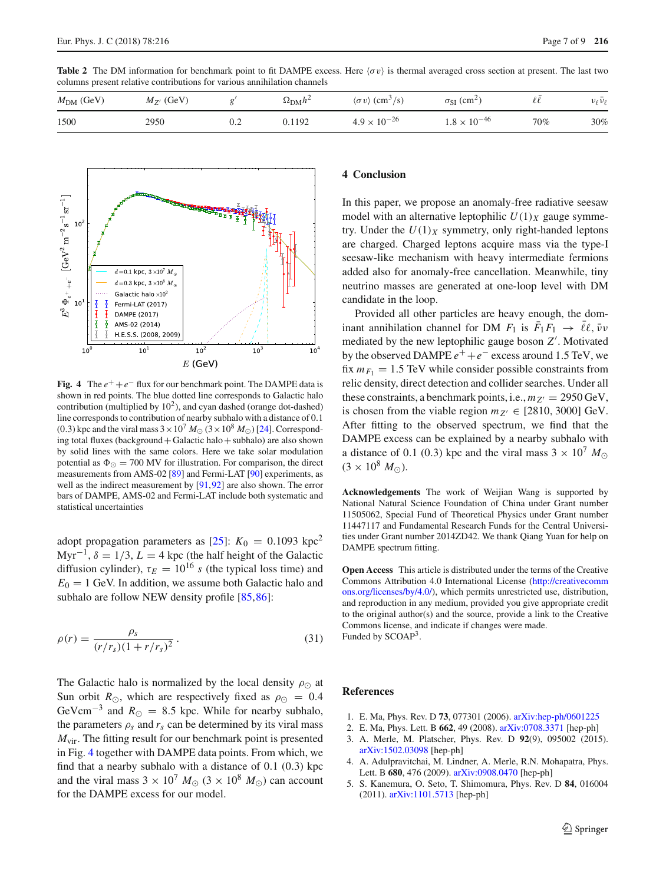

**Fig. 4** The  $e^+ + e^-$  flux for our benchmark point. The DAMPE data is

<span id="page-6-6"></span>shown in red points. The blue dotted line corresponds to Galactic halo contribution (multiplied by  $10<sup>2</sup>$ ), and cyan dashed (orange dot-dashed) line corresponds to contribution of nearby subhalo with a distance of 0.1 (0.3) kpc and the viral mass  $3 \times 10^7$   $M_{\odot}$  ( $3 \times 10^8$   $M_{\odot}$ ) [\[24](#page-7-1)]. Corresponding total fluxes (background+Galactic halo+subhalo) are also shown by solid lines with the same colors. Here we take solar modulation potential as  $\Phi_{\odot} = 700$  MV for illustration. For comparison, the direct measurements from AMS-02 [\[89](#page-8-2)] and Fermi-LAT [\[90](#page-8-3)] experiments, as well as the indirect measurement by [\[91](#page-8-4)[,92\]](#page-8-5) are also shown. The error bars of DAMPE, AMS-02 and Fermi-LAT include both systematic and statistical uncertainties

adopt propagation parameters as  $[25]$  $[25]$ :  $K_0 = 0.1093$  kpc<sup>2</sup> Myr<sup>-1</sup>,  $\delta = 1/3$ ,  $L = 4$  kpc (the half height of the Galactic diffusion cylinder),  $\tau_E = 10^{16}$  *s* (the typical loss time) and  $E_0 = 1$  GeV. In addition, we assume both Galactic halo and subhalo are follow NEW density profile [\[85,](#page-7-32)[86\]](#page-7-33):

$$
\rho(r) = \frac{\rho_s}{(r/r_s)(1 + r/r_s)^2}.
$$
\n(31)

The Galactic halo is normalized by the local density  $\rho_{\odot}$  at Sun orbit  $R_{\odot}$ , which are respectively fixed as  $\rho_{\odot} = 0.4$ GeVcm<sup>-3</sup> and  $R_{\odot} = 8.5$  kpc. While for nearby subhalo, the parameters  $\rho_s$  and  $r_s$  can be determined by its viral mass *M*<sub>vir</sub>. The fitting result for our benchmark point is presented in Fig. [4](#page-6-6) together with DAMPE data points. From which, we find that a nearby subhalo with a distance of 0.1 (0.3) kpc and the viral mass  $3 \times 10^7$   $M_{\odot}$  ( $3 \times 10^8$   $M_{\odot}$ ) can account for the DAMPE excess for our model.

# <span id="page-6-4"></span>**4 Conclusion**

In this paper, we propose an anomaly-free radiative seesaw model with an alternative leptophilic  $U(1)_X$  gauge symmetry. Under the  $U(1)_X$  symmetry, only right-handed leptons are charged. Charged leptons acquire mass via the type-I seesaw-like mechanism with heavy intermediate fermions added also for anomaly-free cancellation. Meanwhile, tiny neutrino masses are generated at one-loop level with DM candidate in the loop.

Provided all other particles are heavy enough, the dominant annihilation channel for DM  $F_1$  is  $F_1F_1 \rightarrow \ell \ell, \bar{\nu} \nu$ mediated by the new leptophilic gauge boson *Z* . Motivated by the observed DAMPE  $e^+ + e^-$  excess around 1.5 TeV, we fix  $m_{F_1} = 1.5$  TeV while consider possible constraints from relic density, direct detection and collider searches. Under all these constraints, a benchmark points, i.e.,  $m_{Z'} = 2950 \,\text{GeV}$ , is chosen from the viable region  $m_{Z'} \in [2810, 3000]$  GeV. After fitting to the observed spectrum, we find that the DAMPE excess can be explained by a nearby subhalo with a distance of 0.1 (0.3) kpc and the viral mass  $3 \times 10^7$   $M_{\odot}$  $(3 \times 10^8 M_{\odot})$ .

**Acknowledgements** The work of Weijian Wang is supported by National Natural Science Foundation of China under Grant number 11505062, Special Fund of Theoretical Physics under Grant number 11447117 and Fundamental Research Funds for the Central Universities under Grant number 2014ZD42. We thank Qiang Yuan for help on DAMPE spectrum fitting.

**Open Access** This article is distributed under the terms of the Creative Commons Attribution 4.0 International License [\(http://creativecomm](http://creativecommons.org/licenses/by/4.0/) [ons.org/licenses/by/4.0/\)](http://creativecommons.org/licenses/by/4.0/), which permits unrestricted use, distribution, and reproduction in any medium, provided you give appropriate credit to the original author(s) and the source, provide a link to the Creative Commons license, and indicate if changes were made. Funded by SCOAP3.

# **References**

- <span id="page-6-0"></span>1. E. Ma, Phys. Rev. D **73**, 077301 (2006). [arXiv:hep-ph/0601225](http://arxiv.org/abs/hep-ph/0601225)
- <span id="page-6-1"></span>2. E. Ma, Phys. Lett. B **662**, 49 (2008). [arXiv:0708.3371](http://arxiv.org/abs/0708.3371) [hep-ph]
- <span id="page-6-2"></span>3. A. Merle, M. Platscher, Phys. Rev. D **92**(9), 095002 (2015). [arXiv:1502.03098](http://arxiv.org/abs/1502.03098) [hep-ph]
- <span id="page-6-3"></span>4. A. Adulpravitchai, M. Lindner, A. Merle, R.N. Mohapatra, Phys. Lett. B **680**, 476 (2009). [arXiv:0908.0470](http://arxiv.org/abs/0908.0470) [hep-ph]
- 5. S. Kanemura, O. Seto, T. Shimomura, Phys. Rev. D **84**, 016004 (2011). [arXiv:1101.5713](http://arxiv.org/abs/1101.5713) [hep-ph]

<span id="page-6-5"></span>

| committee present rename contributions for various annihilation enamely |                |     |                       |                                                 |                                  |     |                               |  |  |  |  |
|-------------------------------------------------------------------------|----------------|-----|-----------------------|-------------------------------------------------|----------------------------------|-----|-------------------------------|--|--|--|--|
| $M_{DM}$ (GeV)                                                          | $M_{Z'}$ (GeV) |     | $\Omega_{\rm DM} h^2$ | $\langle \sigma v \rangle$ (cm <sup>3</sup> /s) | $\sigma_{SI}$ (cm <sup>2</sup> ) |     | $\nu_{\ell} \bar{\nu}_{\ell}$ |  |  |  |  |
| 1500                                                                    | 2950           | 0.2 | 0.1192                | $4.9 \times 10^{-26}$                           | $1.8 \times 10^{-46}$            | 70% | 30%                           |  |  |  |  |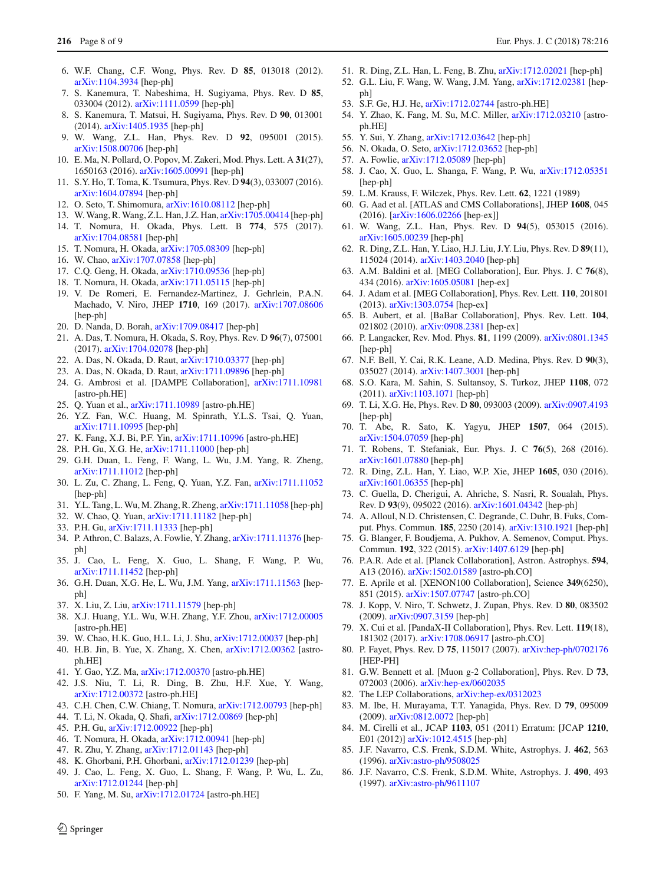- 6. W.F. Chang, C.F. Wong, Phys. Rev. D **85**, 013018 (2012). [arXiv:1104.3934](http://arxiv.org/abs/1104.3934) [hep-ph]
- 7. S. Kanemura, T. Nabeshima, H. Sugiyama, Phys. Rev. D **85**, 033004 (2012). [arXiv:1111.0599](http://arxiv.org/abs/1111.0599) [hep-ph]
- <span id="page-7-6"></span>8. S. Kanemura, T. Matsui, H. Sugiyama, Phys. Rev. D **90**, 013001 (2014). [arXiv:1405.1935](http://arxiv.org/abs/1405.1935) [hep-ph]
- <span id="page-7-7"></span>9. W. Wang, Z.L. Han, Phys. Rev. D **92**, 095001 (2015). [arXiv:1508.00706](http://arxiv.org/abs/1508.00706) [hep-ph]
- 10. E. Ma, N. Pollard, O. Popov, M. Zakeri, Mod. Phys. Lett. A **31**(27), 1650163 (2016). [arXiv:1605.00991](http://arxiv.org/abs/1605.00991) [hep-ph]
- 11. S.Y. Ho, T. Toma, K. Tsumura, Phys. Rev. D **94**(3), 033007 (2016). [arXiv:1604.07894](http://arxiv.org/abs/1604.07894) [hep-ph]
- 12. O. Seto, T. Shimomura, [arXiv:1610.08112](http://arxiv.org/abs/1610.08112) [hep-ph]
- 13. W. Wang, R. Wang, Z.L. Han, J.Z. Han, [arXiv:1705.00414](http://arxiv.org/abs/1705.00414) [hep-ph]
- 14. T. Nomura, H. Okada, Phys. Lett. B **774**, 575 (2017). [arXiv:1704.08581](http://arxiv.org/abs/1704.08581) [hep-ph]
- 15. T. Nomura, H. Okada, [arXiv:1705.08309](http://arxiv.org/abs/1705.08309) [hep-ph]
- 16. W. Chao, [arXiv:1707.07858](http://arxiv.org/abs/1707.07858) [hep-ph]
- 17. C.Q. Geng, H. Okada, [arXiv:1710.09536](http://arxiv.org/abs/1710.09536) [hep-ph]
- 18. T. Nomura, H. Okada, [arXiv:1711.05115](http://arxiv.org/abs/1711.05115) [hep-ph]
- 19. V. De Romeri, E. Fernandez-Martinez, J. Gehrlein, P.A.N. Machado, V. Niro, JHEP **1710**, 169 (2017). [arXiv:1707.08606](http://arxiv.org/abs/1707.08606) [hep-ph]
- 20. D. Nanda, D. Borah, [arXiv:1709.08417](http://arxiv.org/abs/1709.08417) [hep-ph]
- 21. A. Das, T. Nomura, H. Okada, S. Roy, Phys. Rev. D **96**(7), 075001 (2017). [arXiv:1704.02078](http://arxiv.org/abs/1704.02078) [hep-ph]
- 22. A. Das, N. Okada, D. Raut, [arXiv:1710.03377](http://arxiv.org/abs/1710.03377) [hep-ph]
- <span id="page-7-0"></span>23. A. Das, N. Okada, D. Raut, [arXiv:1711.09896](http://arxiv.org/abs/1711.09896) [hep-ph]
- <span id="page-7-1"></span>24. G. Ambrosi et al. [DAMPE Collaboration], [arXiv:1711.10981](http://arxiv.org/abs/1711.10981) [astro-ph.HE]
- <span id="page-7-2"></span>25. Q. Yuan et al., [arXiv:1711.10989](http://arxiv.org/abs/1711.10989) [astro-ph.HE]
- <span id="page-7-3"></span>26. Y.Z. Fan, W.C. Huang, M. Spinrath, Y.L.S. Tsai, Q. Yuan, [arXiv:1711.10995](http://arxiv.org/abs/1711.10995) [hep-ph]
- 27. K. Fang, X.J. Bi, P.F. Yin, [arXiv:1711.10996](http://arxiv.org/abs/1711.10996) [astro-ph.HE]
- 28. P.H. Gu, X.G. He, [arXiv:1711.11000](http://arxiv.org/abs/1711.11000) [hep-ph]
- 29. G.H. Duan, L. Feng, F. Wang, L. Wu, J.M. Yang, R. Zheng, [arXiv:1711.11012](http://arxiv.org/abs/1711.11012) [hep-ph]
- 30. L. Zu, C. Zhang, L. Feng, Q. Yuan, Y.Z. Fan, [arXiv:1711.11052](http://arxiv.org/abs/1711.11052) [hep-ph]
- 31. Y.L. Tang, L. Wu, M. Zhang, R. Zheng, [arXiv:1711.11058](http://arxiv.org/abs/1711.11058) [hep-ph]
- 32. W. Chao, Q. Yuan, [arXiv:1711.11182](http://arxiv.org/abs/1711.11182) [hep-ph]
- 33. P.H. Gu, [arXiv:1711.11333](http://arxiv.org/abs/1711.11333) [hep-ph]
- 34. P. Athron, C. Balazs, A. Fowlie, Y. Zhang, [arXiv:1711.11376](http://arxiv.org/abs/1711.11376) [hepph]
- 35. J. Cao, L. Feng, X. Guo, L. Shang, F. Wang, P. Wu, [arXiv:1711.11452](http://arxiv.org/abs/1711.11452) [hep-ph]
- 36. G.H. Duan, X.G. He, L. Wu, J.M. Yang, [arXiv:1711.11563](http://arxiv.org/abs/1711.11563) [hepph]
- 37. X. Liu, Z. Liu, [arXiv:1711.11579](http://arxiv.org/abs/1711.11579) [hep-ph]
- 38. X.J. Huang, Y.L. Wu, W.H. Zhang, Y.F. Zhou, [arXiv:1712.00005](http://arxiv.org/abs/1712.00005) [astro-ph.HE]
- 39. W. Chao, H.K. Guo, H.L. Li, J. Shu, [arXiv:1712.00037](http://arxiv.org/abs/1712.00037) [hep-ph]
- 40. H.B. Jin, B. Yue, X. Zhang, X. Chen, [arXiv:1712.00362](http://arxiv.org/abs/1712.00362) [astroph.HE]
- 41. Y. Gao, Y.Z. Ma, [arXiv:1712.00370](http://arxiv.org/abs/1712.00370) [astro-ph.HE]
- 42. J.S. Niu, T. Li, R. Ding, B. Zhu, H.F. Xue, Y. Wang, [arXiv:1712.00372](http://arxiv.org/abs/1712.00372) [astro-ph.HE]
- 43. C.H. Chen, C.W. Chiang, T. Nomura, [arXiv:1712.00793](http://arxiv.org/abs/1712.00793) [hep-ph]
- 44. T. Li, N. Okada, Q. Shafi, [arXiv:1712.00869](http://arxiv.org/abs/1712.00869) [hep-ph]
- 45. P.H. Gu, [arXiv:1712.00922](http://arxiv.org/abs/1712.00922) [hep-ph]
- 46. T. Nomura, H. Okada, [arXiv:1712.00941](http://arxiv.org/abs/1712.00941) [hep-ph]
- 47. R. Zhu, Y. Zhang, [arXiv:1712.01143](http://arxiv.org/abs/1712.01143) [hep-ph]
- 48. K. Ghorbani, P.H. Ghorbani, [arXiv:1712.01239](http://arxiv.org/abs/1712.01239) [hep-ph]
- 49. J. Cao, L. Feng, X. Guo, L. Shang, F. Wang, P. Wu, L. Zu, [arXiv:1712.01244](http://arxiv.org/abs/1712.01244) [hep-ph]
- 50. F. Yang, M. Su, [arXiv:1712.01724](http://arxiv.org/abs/1712.01724) [astro-ph.HE]
- 51. R. Ding, Z.L. Han, L. Feng, B. Zhu, [arXiv:1712.02021](http://arxiv.org/abs/1712.02021) [hep-ph]
- 52. G.L. Liu, F. Wang, W. Wang, J.M. Yang, [arXiv:1712.02381](http://arxiv.org/abs/1712.02381) [hepph]
- 53. S.F. Ge, H.J. He, [arXiv:1712.02744](http://arxiv.org/abs/1712.02744) [astro-ph.HE]
- 54. Y. Zhao, K. Fang, M. Su, M.C. Miller, [arXiv:1712.03210](http://arxiv.org/abs/1712.03210) [astroph.HE]
- 55. Y. Sui, Y. Zhang, [arXiv:1712.03642](http://arxiv.org/abs/1712.03642) [hep-ph]
- 56. N. Okada, O. Seto, [arXiv:1712.03652](http://arxiv.org/abs/1712.03652) [hep-ph]
- 57. A. Fowlie, [arXiv:1712.05089](http://arxiv.org/abs/1712.05089) [hep-ph]
- <span id="page-7-4"></span>58. J. Cao, X. Guo, L. Shanga, F. Wang, P. Wu, [arXiv:1712.05351](http://arxiv.org/abs/1712.05351) [hep-ph]
- <span id="page-7-5"></span>59. L.M. Krauss, F. Wilczek, Phys. Rev. Lett. **62**, 1221 (1989)
- <span id="page-7-8"></span>60. G. Aad et al. [ATLAS and CMS Collaborations], JHEP **1608**, 045 (2016). [\[arXiv:1606.02266](http://arxiv.org/abs/1606.02266) [hep-ex]]
- <span id="page-7-9"></span>61. W. Wang, Z.L. Han, Phys. Rev. D **94**(5), 053015 (2016). [arXiv:1605.00239](http://arxiv.org/abs/1605.00239) [hep-ph]
- <span id="page-7-10"></span>62. R. Ding, Z.L. Han, Y. Liao, H.J. Liu, J.Y. Liu, Phys. Rev. D **89**(11), 115024 (2014). [arXiv:1403.2040](http://arxiv.org/abs/1403.2040) [hep-ph]
- <span id="page-7-11"></span>63. A.M. Baldini et al. [MEG Collaboration], Eur. Phys. J. C **76**(8), 434 (2016). [arXiv:1605.05081](http://arxiv.org/abs/1605.05081) [hep-ex]
- 64. J. Adam et al. [MEG Collaboration], Phys. Rev. Lett. **110**, 201801 (2013). [arXiv:1303.0754](http://arxiv.org/abs/1303.0754) [hep-ex]
- <span id="page-7-12"></span>65. B. Aubert, et al. [BaBar Collaboration], Phys. Rev. Lett. **104**, 021802 (2010). [arXiv:0908.2381](http://arxiv.org/abs/0908.2381) [hep-ex]
- <span id="page-7-13"></span>66. P. Langacker, Rev. Mod. Phys. **81**, 1199 (2009). [arXiv:0801.1345](http://arxiv.org/abs/0801.1345) [hep-ph]
- <span id="page-7-14"></span>67. N.F. Bell, Y. Cai, R.K. Leane, A.D. Medina, Phys. Rev. D **90**(3), 035027 (2014). [arXiv:1407.3001](http://arxiv.org/abs/1407.3001) [hep-ph]
- <span id="page-7-15"></span>68. S.O. Kara, M. Sahin, S. Sultansoy, S. Turkoz, JHEP **1108**, 072 (2011). [arXiv:1103.1071](http://arxiv.org/abs/1103.1071) [hep-ph]
- <span id="page-7-16"></span>69. T. Li, X.G. He, Phys. Rev. D **80**, 093003 (2009). [arXiv:0907.4193](http://arxiv.org/abs/0907.4193) [hep-ph]
- <span id="page-7-17"></span>70. T. Abe, R. Sato, K. Yagyu, JHEP **1507**, 064 (2015). [arXiv:1504.07059](http://arxiv.org/abs/1504.07059) [hep-ph]
- <span id="page-7-18"></span>71. T. Robens, T. Stefaniak, Eur. Phys. J. C **76**(5), 268 (2016). [arXiv:1601.07880](http://arxiv.org/abs/1601.07880) [hep-ph]
- <span id="page-7-19"></span>72. R. Ding, Z.L. Han, Y. Liao, W.P. Xie, JHEP **1605**, 030 (2016). [arXiv:1601.06355](http://arxiv.org/abs/1601.06355) [hep-ph]
- <span id="page-7-20"></span>73. C. Guella, D. Cherigui, A. Ahriche, S. Nasri, R. Soualah, Phys. Rev. D **93**(9), 095022 (2016). [arXiv:1601.04342](http://arxiv.org/abs/1601.04342) [hep-ph]
- <span id="page-7-21"></span>74. A. Alloul, N.D. Christensen, C. Degrande, C. Duhr, B. Fuks, Comput. Phys. Commun. **185**, 2250 (2014). [arXiv:1310.1921](http://arxiv.org/abs/1310.1921) [hep-ph]
- <span id="page-7-22"></span>75. G. Blanger, F. Boudjema, A. Pukhov, A. Semenov, Comput. Phys. Commun. **192**, 322 (2015). [arXiv:1407.6129](http://arxiv.org/abs/1407.6129) [hep-ph]
- <span id="page-7-23"></span>76. P.A.R. Ade et al. [Planck Collaboration], Astron. Astrophys. **594**, A13 (2016). [arXiv:1502.01589](http://arxiv.org/abs/1502.01589) [astro-ph.CO]
- <span id="page-7-24"></span>77. E. Aprile et al. [XENON100 Collaboration], Science **349**(6250), 851 (2015). [arXiv:1507.07747](http://arxiv.org/abs/1507.07747) [astro-ph.CO]
- <span id="page-7-25"></span>78. J. Kopp, V. Niro, T. Schwetz, J. Zupan, Phys. Rev. D **80**, 083502 (2009). [arXiv:0907.3159](http://arxiv.org/abs/0907.3159) [hep-ph]
- <span id="page-7-26"></span>79. X. Cui et al. [PandaX-II Collaboration], Phys. Rev. Lett. **119**(18), 181302 (2017). [arXiv:1708.06917](http://arxiv.org/abs/1708.06917) [astro-ph.CO]
- <span id="page-7-27"></span>80. P. Fayet, Phys. Rev. D **75**, 115017 (2007). [arXiv:hep-ph/0702176](http://arxiv.org/abs/hep-ph/0702176) [HEP-PH]
- <span id="page-7-28"></span>81. G.W. Bennett et al. [Muon g-2 Collaboration], Phys. Rev. D **73**, 072003 (2006). [arXiv:hep-ex/0602035](http://arxiv.org/abs/hep-ex/0602035)
- <span id="page-7-29"></span>82. The LEP Collaborations, [arXiv:hep-ex/0312023](http://arxiv.org/abs/hep-ex/0312023)
- <span id="page-7-30"></span>83. M. Ibe, H. Murayama, T.T. Yanagida, Phys. Rev. D **79**, 095009 (2009). [arXiv:0812.0072](http://arxiv.org/abs/0812.0072) [hep-ph]
- <span id="page-7-31"></span>84. M. Cirelli et al., JCAP **1103**, 051 (2011) Erratum: [JCAP **1210**, E01 (2012)] [arXiv:1012.4515](http://arxiv.org/abs/1012.4515) [hep-ph]
- <span id="page-7-32"></span>85. J.F. Navarro, C.S. Frenk, S.D.M. White, Astrophys. J. **462**, 563 (1996). [arXiv:astro-ph/9508025](http://arxiv.org/abs/astro-ph/9508025)
- <span id="page-7-33"></span>86. J.F. Navarro, C.S. Frenk, S.D.M. White, Astrophys. J. **490**, 493 (1997). [arXiv:astro-ph/9611107](http://arxiv.org/abs/astro-ph/9611107)